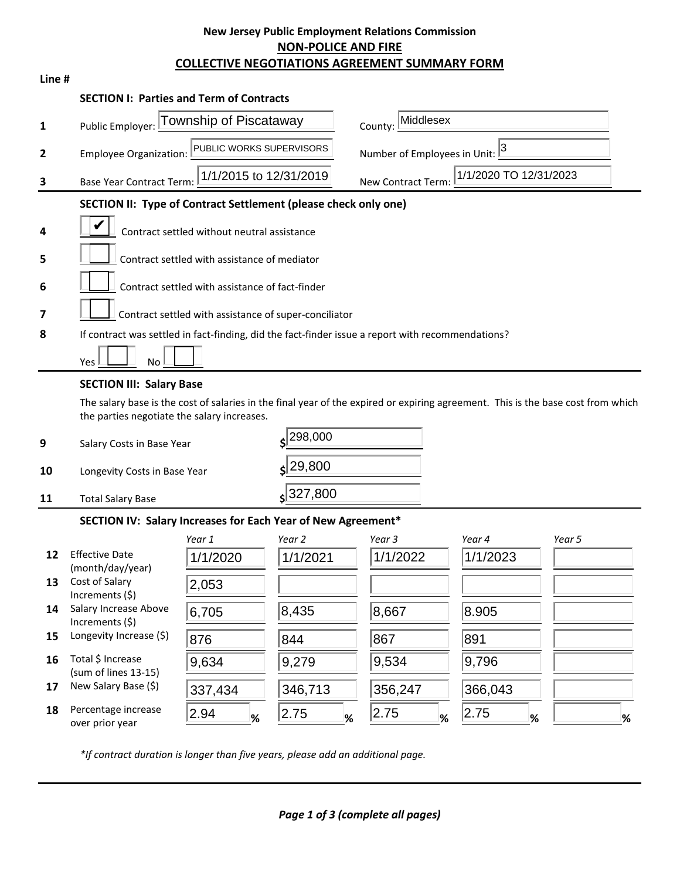# **New Jersey Public Employment Relations Commission NON-POLICE AND FIRE COLLECTIVE NEGOTIATIONS AGREEMENT SUMMARY FORM**

| Line # |                                                                                                                                                            |                        |             |                                              |           |        |
|--------|------------------------------------------------------------------------------------------------------------------------------------------------------------|------------------------|-------------|----------------------------------------------|-----------|--------|
|        | <b>SECTION I: Parties and Term of Contracts</b>                                                                                                            |                        |             |                                              |           |        |
| 1      | Township of Piscataway<br>Public Employer:                                                                                                                 |                        |             | Middlesex<br>County:                         |           |        |
| 2      | PUBLIC WORKS SUPERVISORS<br><b>Employee Organization:</b>                                                                                                  |                        |             | Number of Employees in Unit: $\frac{3}{2}$   |           |        |
| 3      | <b>Base Year Contract Term:</b>                                                                                                                            | 1/1/2015 to 12/31/2019 |             | 1/1/2020 TO 12/31/2023<br>New Contract Term: |           |        |
|        | SECTION II: Type of Contract Settlement (please check only one)                                                                                            |                        |             |                                              |           |        |
| 4      | Contract settled without neutral assistance                                                                                                                |                        |             |                                              |           |        |
| 5      | Contract settled with assistance of mediator                                                                                                               |                        |             |                                              |           |        |
| 6      | Contract settled with assistance of fact-finder                                                                                                            |                        |             |                                              |           |        |
| 7      |                                                                                                                                                            |                        |             |                                              |           |        |
| 8      | Contract settled with assistance of super-conciliator<br>If contract was settled in fact-finding, did the fact-finder issue a report with recommendations? |                        |             |                                              |           |        |
|        |                                                                                                                                                            |                        |             |                                              |           |        |
|        | Yes<br><b>No</b>                                                                                                                                           |                        |             |                                              |           |        |
|        | <b>SECTION III: Salary Base</b>                                                                                                                            |                        |             |                                              |           |        |
|        | The salary base is the cost of salaries in the final year of the expired or expiring agreement. This is the base cost from which                           |                        |             |                                              |           |        |
|        | the parties negotiate the salary increases.                                                                                                                |                        |             |                                              |           |        |
| 9      | Salary Costs in Base Year                                                                                                                                  |                        | 298,000     |                                              |           |        |
| 10     | $\left  \frac{29,800}{5} \right $<br>Longevity Costs in Base Year                                                                                          |                        |             |                                              |           |        |
| 11     | <b>Total Salary Base</b>                                                                                                                                   |                        | $s$ 327,800 |                                              |           |        |
|        | SECTION IV: Salary Increases for Each Year of New Agreement*                                                                                               |                        |             |                                              |           |        |
|        |                                                                                                                                                            | Year 1                 | Year 2      | Year 3                                       | Year 4    | Year 5 |
| 12     | <b>Effective Date</b><br>(month/day/year)                                                                                                                  | 1/1/2020               | 1/1/2021    | 1/1/2022                                     | 1/1/2023  |        |
| 13     | Cost of Salary<br>Increments (\$)                                                                                                                          | 2,053                  |             |                                              |           |        |
| 14     | Salary Increase Above<br>Increments (\$)                                                                                                                   | 6,705                  | 8,435       | 8,667                                        | 8.905     |        |
| 15     | Longevity Increase (\$)                                                                                                                                    | 876                    | 844         | 867                                          | 891       |        |
| 16     | Total \$ Increase<br>(sum of lines 13-15)                                                                                                                  | 9,634                  | 9,279       | 9,534                                        | 9,796     |        |
| 17     | New Salary Base (\$)                                                                                                                                       | 337,434                | 346,713     | 356,247                                      | 366,043   |        |
| 18     | Percentage increase<br>over prior year                                                                                                                     | 2.94<br>%              | 2.75<br>%   | 2.75<br>%                                    | 2.75<br>% | %      |

*\*If contract duration is longer than five years, please add an additional page.*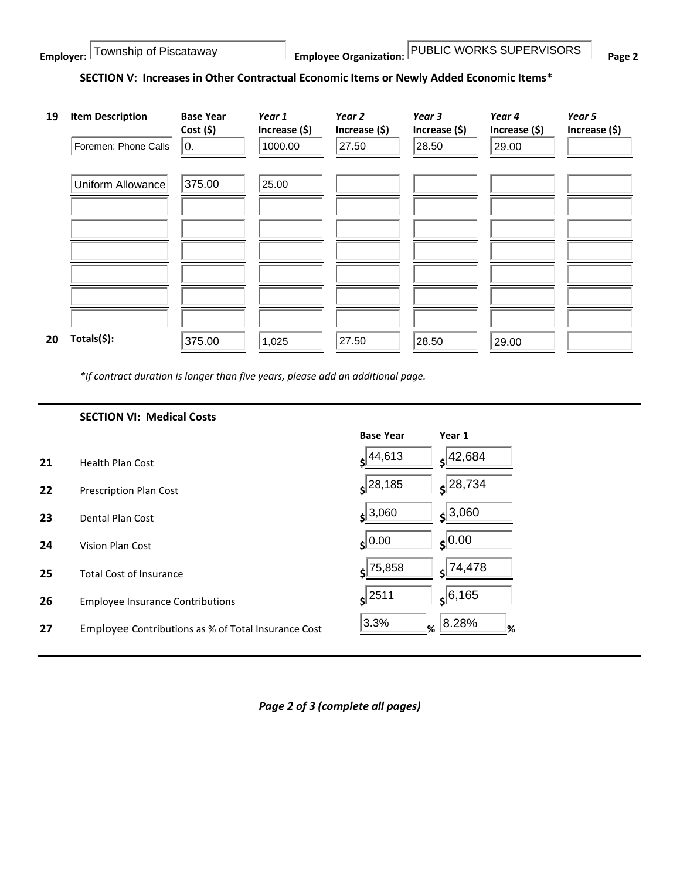| Township of Piscataway<br>Employer: | <b>IPUBLIC WORKS SUPERVISORS</b><br><b>Employee Organization:</b> | $P$ age $\sim$ |
|-------------------------------------|-------------------------------------------------------------------|----------------|
|-------------------------------------|-------------------------------------------------------------------|----------------|

### **SECTION V: Increases in Other Contractual Economic Items or Newly Added Economic Items\***



*\*If contract duration is longer than five years, please add an additional page.*

|    | <b>SECTION VI: Medical Costs</b>                    |                       |                 |
|----|-----------------------------------------------------|-----------------------|-----------------|
|    |                                                     | <b>Base Year</b>      | Year 1          |
| 21 | <b>Health Plan Cost</b>                             | $s^{44,613}$          | 42,684          |
| 22 | <b>Prescription Plan Cost</b>                       | $s$ <sup>28,185</sup> | $\zeta$  28,734 |
| 23 | Dental Plan Cost                                    | $s^{3,060}$           | $s^{3,060}$     |
| 24 | Vision Plan Cost                                    | $s$ <sup>0.00</sup>   | $\zeta$ 0.00    |
| 25 | <b>Total Cost of Insurance</b>                      | $s$ 75,858            | 74,478<br>≮     |
| 26 | <b>Employee Insurance Contributions</b>             | $s$ <sup>2511</sup>   | 6, 165          |
| 27 | Employee Contributions as % of Total Insurance Cost | 3.3%<br>%             | 8.28%<br>%      |

*Page 2 of 3 (complete all pages)*